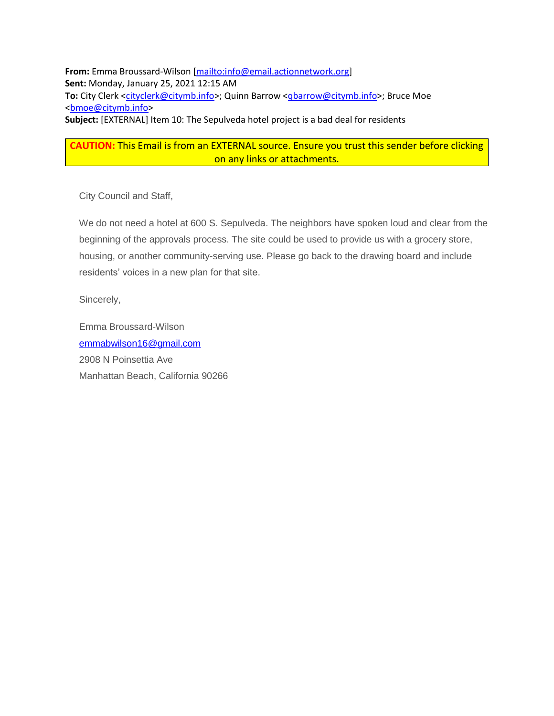**From:** Emma Broussard-Wilson [\[mailto:info@email.actionnetwork.org\]](mailto:info@email.actionnetwork.org) **Sent:** Monday, January 25, 2021 12:15 AM To: City Clerk [<cityclerk@citymb.info>](mailto:cityclerk@citymb.info); Quinn Barrow <gbarrow@citymb.info>; Bruce Moe [<bmoe@citymb.info>](mailto:bmoe@citymb.info) **Subject:** [EXTERNAL] Item 10: The Sepulveda hotel project is a bad deal for residents

# **CAUTION:** This Email is from an EXTERNAL source. Ensure you trust this sender before clicking on any links or attachments.

City Council and Staff,

We do not need a hotel at 600 S. Sepulveda. The neighbors have spoken loud and clear from the beginning of the approvals process. The site could be used to provide us with a grocery store, housing, or another community-serving use. Please go back to the drawing board and include residents' voices in a new plan for that site.

Sincerely,

Emma Broussard-Wilson [emmabwilson16@gmail.com](mailto:emmabwilson16@gmail.com) 2908 N Poinsettia Ave Manhattan Beach, California 90266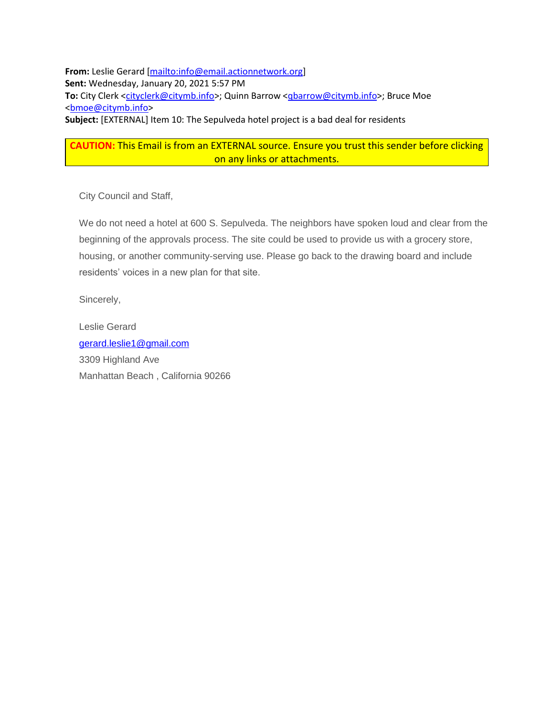**From:** Leslie Gerard [\[mailto:info@email.actionnetwork.org\]](mailto:info@email.actionnetwork.org) **Sent:** Wednesday, January 20, 2021 5:57 PM To: City Clerk [<cityclerk@citymb.info>](mailto:cityclerk@citymb.info); Quinn Barrow <gbarrow@citymb.info>; Bruce Moe [<bmoe@citymb.info>](mailto:bmoe@citymb.info) **Subject:** [EXTERNAL] Item 10: The Sepulveda hotel project is a bad deal for residents

# **CAUTION:** This Email is from an EXTERNAL source. Ensure you trust this sender before clicking on any links or attachments.

City Council and Staff,

We do not need a hotel at 600 S. Sepulveda. The neighbors have spoken loud and clear from the beginning of the approvals process. The site could be used to provide us with a grocery store, housing, or another community-serving use. Please go back to the drawing board and include residents' voices in a new plan for that site.

Sincerely,

Leslie Gerard [gerard.leslie1@gmail.com](mailto:gerard.leslie1@gmail.com) 3309 Highland Ave Manhattan Beach , California 90266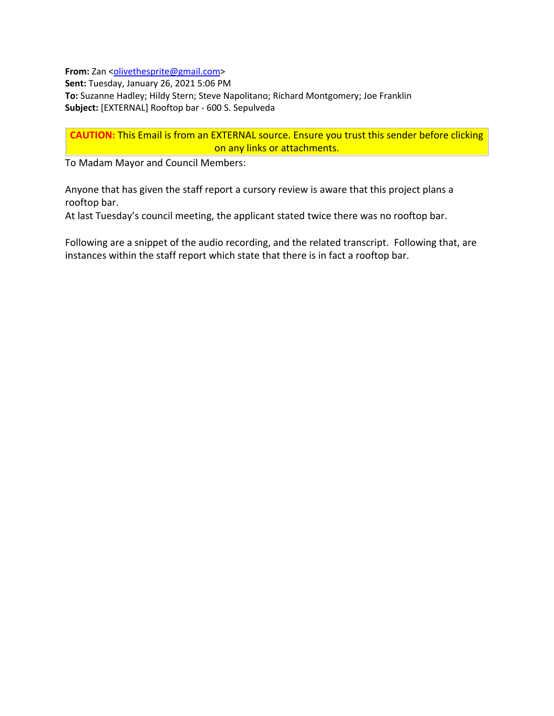**From:** Zan [<olivethesprite@gmail.com>](mailto:olivethesprite@gmail.com) **Sent:** Tuesday, January 26, 2021 5:06 PM **To:** Suzanne Hadley; Hildy Stern; Steve Napolitano; Richard Montgomery; Joe Franklin **Subject:** [EXTERNAL] Rooftop bar - 600 S. Sepulveda

**CAUTION:** This Email is from an EXTERNAL source. Ensure you trust this sender before clicking on any links or attachments.

To Madam Mayor and Council Members:

Anyone that has given the staff report a cursory review is aware that this project plans a rooftop bar.

At last Tuesday's council meeting, the applicant stated twice there was no rooftop bar.

Following are a snippet of the audio recording, and the related transcript. Following that, are instances within the staff report which state that there is in fact a rooftop bar.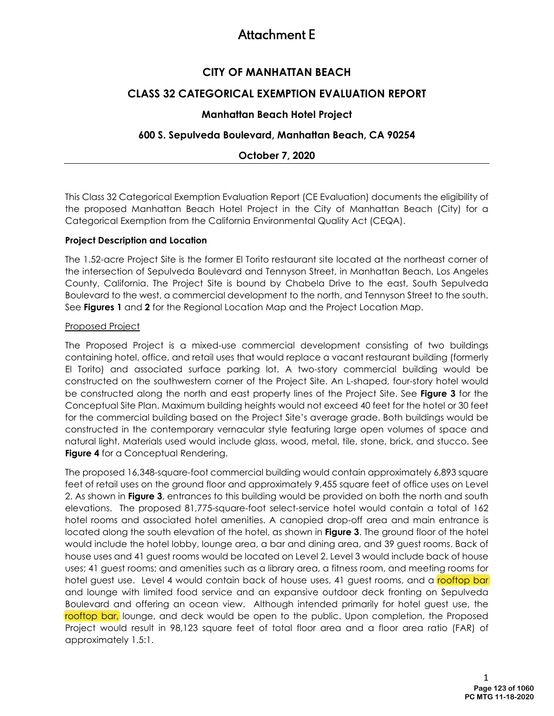# Attachment E

# **CITY OF MANHATTAN BEACH**

# **CLASS 32 CATEGORICAL EXEMPTION EVALUATION REPORT**

#### **Manhattan Beach Hotel Project**

#### **600 S. Sepulveda Boulevard, Manhattan Beach, CA 90254**

#### **October 7, 2020**

This Class 32 Categorical Exemption Evaluation Report (CE Evaluation) documents the eligibility of the proposed Manhattan Beach Hotel Project in the City of Manhattan Beach (City) for a Categorical Exemption from the California Environmental Quality Act (CEQA).

#### **Project Description and Location**

The 1.52-acre Project Site is the former El Torito restaurant site located at the northeast corner of the intersection of Sepulveda Boulevard and Tennyson Street, in Manhattan Beach, Los Angeles County, California. The Project Site is bound by Chabela Drive to the east, South Sepulveda Boulevard to the west, a commercial development to the north, and Tennyson Street to the south. See **Figures 1** and **2** for the Regional Location Map and the Project Location Map.

#### Proposed Project

The Proposed Project is a mixed-use commercial development consisting of two buildings containing hotel, office, and retail uses that would replace a vacant restaurant building (formerly El Torito) and associated surface parking lot. A two-story commercial building would be constructed on the southwestern corner of the Project Site. An L-shaped, four-story hotel would be constructed along the north and east property lines of the Project Site. See **Figure 3** for the Conceptual Site Plan. Maximum building heights would not exceed 40 feet for the hotel or 30 feet for the commercial building based on the Project Site's average grade. Both buildings would be constructed in the contemporary vernacular style featuring large open volumes of space and natural light. Materials used would include glass, wood, metal, tile, stone, brick, and stucco. See **Figure 4** for a Conceptual Rendering.

The proposed 16,348-square-foot commercial building would contain approximately 6,893 square feet of retail uses on the ground floor and approximately 9,455 square feet of office uses on Level 2. As shown in **Figure 3**, entrances to this building would be provided on both the north and south elevations. The proposed 81,775-square-foot select-service hotel would contain a total of 162 hotel rooms and associated hotel amenities. A canopied drop-off area and main entrance is located along the south elevation of the hotel, as shown in **Figure 3**. The ground floor of the hotel would include the hotel lobby, lounge area, a bar and dining area, and 39 guest rooms. Back of house uses and 41 guest rooms would be located on Level 2. Level 3 would include back of house uses; 41 guest rooms; and amenities such as a library area, a fitness room, and meeting rooms for hotel guest use. Level 4 would contain back of house uses, 41 guest rooms, and a rooftop bar and lounge with limited food service and an expansive outdoor deck fronting on Sepulveda Boulevard and offering an ocean view. Although intended primarily for hotel guest use, the rooftop bar, lounge, and deck would be open to the public. Upon completion, the Proposed Project would result in 98,123 square feet of total floor area and a floor area ratio (FAR) of approximately 1.5:1.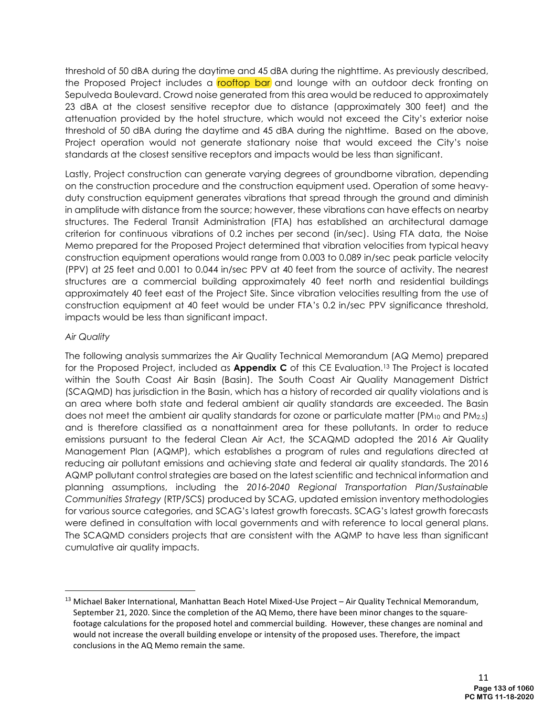threshold of 50 dBA during the daytime and 45 dBA during the nighttime. As previously described, the Proposed Project includes a rooftop bar and lounge with an outdoor deck fronting on Sepulveda Boulevard. Crowd noise generated from this area would be reduced to approximately 23 dBA at the closest sensitive receptor due to distance (approximately 300 feet) and the attenuation provided by the hotel structure, which would not exceed the City's exterior noise threshold of 50 dBA during the daytime and 45 dBA during the nighttime. Based on the above, Project operation would not generate stationary noise that would exceed the City's noise standards at the closest sensitive receptors and impacts would be less than significant.

Lastly, Project construction can generate varying degrees of groundborne vibration, depending on the construction procedure and the construction equipment used. Operation of some heavyduty construction equipment generates vibrations that spread through the ground and diminish in amplitude with distance from the source; however, these vibrations can have effects on nearby structures. The Federal Transit Administration (FTA) has established an architectural damage criterion for continuous vibrations of 0.2 inches per second (in/sec). Using FTA data, the Noise Memo prepared for the Proposed Project determined that vibration velocities from typical heavy construction equipment operations would range from 0.003 to 0.089 in/sec peak particle velocity (PPV) at 25 feet and 0.001 to 0.044 in/sec PPV at 40 feet from the source of activity. The nearest structures are a commercial building approximately 40 feet north and residential buildings approximately 40 feet east of the Project Site. Since vibration velocities resulting from the use of construction equipment at 40 feet would be under FTA's 0.2 in/sec PPV significance threshold, impacts would be less than significant impact.

#### *Air Quality*

The following analysis summarizes the Air Quality Technical Memorandum (AQ Memo) prepared for the Proposed Project, included as **Appendix C** of this CE Evaluation.13 The Project is located within the South Coast Air Basin (Basin). The South Coast Air Quality Management District (SCAQMD) has jurisdiction in the Basin, which has a history of recorded air quality violations and is an area where both state and federal ambient air quality standards are exceeded. The Basin does not meet the ambient air quality standards for ozone or particulate matter (PM<sub>10</sub> and PM<sub>2.5</sub>) and is therefore classified as a nonattainment area for these pollutants. In order to reduce emissions pursuant to the federal Clean Air Act, the SCAQMD adopted the 2016 Air Quality Management Plan (AQMP), which establishes a program of rules and regulations directed at reducing air pollutant emissions and achieving state and federal air quality standards. The 2016 AQMP pollutant control strategies are based on the latest scientific and technical information and planning assumptions, including the *2016-2040 Regional Transportation Plan/Sustainable Communities Strategy* (RTP/SCS) produced by SCAG, updated emission inventory methodologies for various source categories, and SCAG's latest growth forecasts. SCAG's latest growth forecasts were defined in consultation with local governments and with reference to local general plans. The SCAQMD considers projects that are consistent with the AQMP to have less than significant cumulative air quality impacts.

<sup>&</sup>lt;sup>13</sup> Michael Baker International, Manhattan Beach Hotel Mixed-Use Project – Air Quality Technical Memorandum, September 21, 2020. Since the completion of the AQ Memo, there have been minor changes to the squarefootage calculations for the proposed hotel and commercial building. However, these changes are nominal and would not increase the overall building envelope or intensity of the proposed uses. Therefore, the impact conclusions in the AQ Memo remain the same.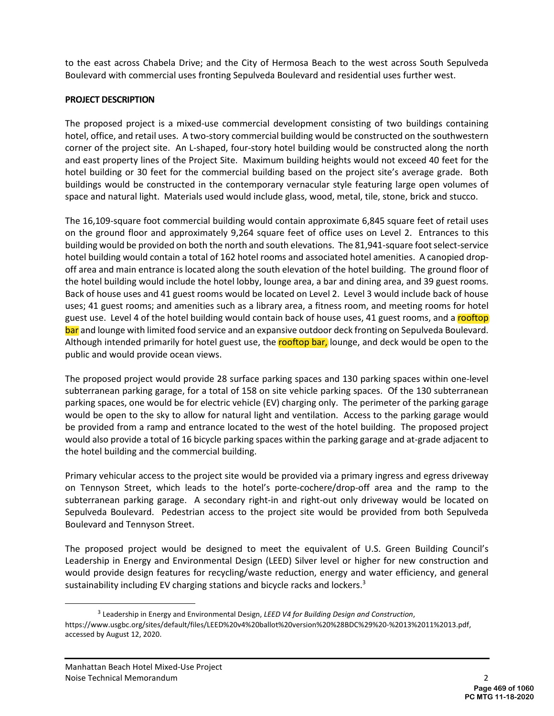to the east across Chabela Drive; and the City of Hermosa Beach to the west across South Sepulveda Boulevard with commercial uses fronting Sepulveda Boulevard and residential uses further west.

#### **PROJECT DESCRIPTION**

The proposed project is a mixed-use commercial development consisting of two buildings containing hotel, office, and retail uses. A two-story commercial building would be constructed on the southwestern corner of the project site. An L-shaped, four-story hotel building would be constructed along the north and east property lines of the Project Site. Maximum building heights would not exceed 40 feet for the hotel building or 30 feet for the commercial building based on the project site's average grade. Both buildings would be constructed in the contemporary vernacular style featuring large open volumes of space and natural light. Materials used would include glass, wood, metal, tile, stone, brick and stucco.

The 16,109-square foot commercial building would contain approximate 6,845 square feet of retail uses on the ground floor and approximately 9,264 square feet of office uses on Level 2. Entrances to this building would be provided on both the north and south elevations. The 81,941-square foot select-service hotel building would contain a total of 162 hotel rooms and associated hotel amenities. A canopied dropoff area and main entrance is located along the south elevation of the hotel building. The ground floor of the hotel building would include the hotel lobby, lounge area, a bar and dining area, and 39 guest rooms. Back of house uses and 41 guest rooms would be located on Level 2. Level 3 would include back of house uses; 41 guest rooms; and amenities such as a library area, a fitness room, and meeting rooms for hotel guest use. Level 4 of the hotel building would contain back of house uses, 41 guest rooms, and a rooftop bar and lounge with limited food service and an expansive outdoor deck fronting on Sepulveda Boulevard. Although intended primarily for hotel guest use, the rooftop bar, lounge, and deck would be open to the public and would provide ocean views.

The proposed project would provide 28 surface parking spaces and 130 parking spaces within one-level subterranean parking garage, for a total of 158 on site vehicle parking spaces. Of the 130 subterranean parking spaces, one would be for electric vehicle (EV) charging only. The perimeter of the parking garage would be open to the sky to allow for natural light and ventilation. Access to the parking garage would be provided from a ramp and entrance located to the west of the hotel building. The proposed project would also provide a total of 16 bicycle parking spaces within the parking garage and at-grade adjacent to the hotel building and the commercial building.

Primary vehicular access to the project site would be provided via a primary ingress and egress driveway on Tennyson Street, which leads to the hotel's porte-cochere/drop-off area and the ramp to the subterranean parking garage. A secondary right-in and right-out only driveway would be located on Sepulveda Boulevard. Pedestrian access to the project site would be provided from both Sepulveda Boulevard and Tennyson Street.

The proposed project would be designed to meet the equivalent of U.S. Green Building Council's Leadership in Energy and Environmental Design (LEED) Silver level or higher for new construction and would provide design features for recycling/waste reduction, energy and water efficiency, and general sustainability including EV charging stations and bicycle racks and lockers.<sup>3</sup>

<sup>3</sup> Leadership in Energy and Environmental Design, *LEED V4 for Building Design and Construction*, https://www.usgbc.org/sites/default/files/LEED%20v4%20ballot%20version%20%28BDC%29%20-%2013%2011%2013.pdf, accessed by August 12, 2020.